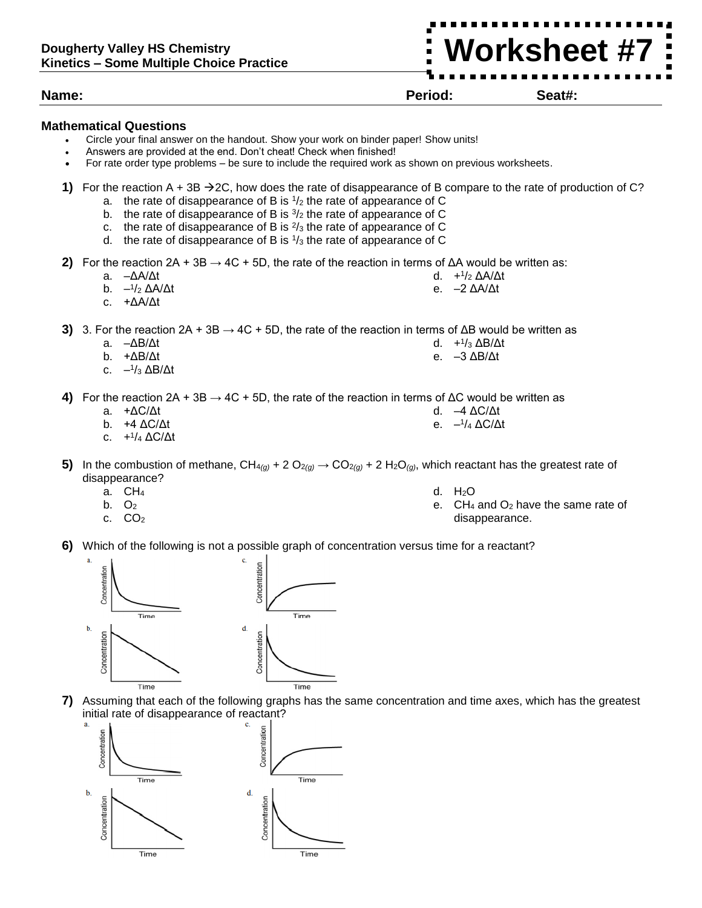## **Name: Period: Seat#:**

## **Mathematical Questions**

- Circle your final answer on the handout. Show your work on binder paper! Show units!
- Answers are provided at the end. Don't cheat! Check when finished!
- For rate order type problems be sure to include the required work as shown on previous worksheets.
- **1)** For the reaction  $A + 3B \rightarrow 2C$ , how does the rate of disappearance of B compare to the rate of production of C?
	- a. the rate of disappearance of B is  $1/2$  the rate of appearance of C
	- b. the rate of disappearance of B is  $\frac{3}{2}$  the rate of appearance of C
	- c. the rate of disappearance of B is  $\frac{2}{3}$  the rate of appearance of C
	- d. the rate of disappearance of B is  $\frac{1}{3}$  the rate of appearance of C
- **2)** For the reaction  $2A + 3B \rightarrow 4C + 5D$ , the rate of the reaction in terms of  $\Delta A$  would be written as:
	- a. –ΔA/Δt

d. + 1 /<sup>2</sup> ΔA/Δt e. –2 ΔA/Δt

> d. + 1 /<sup>3</sup> ΔB/Δt e. –3 ΔB/Δt

e. – 1 /<sup>4</sup> ΔC/Δt

b. – 1 /<sup>2</sup> ΔA/Δt c. +ΔA/Δt

**3)** 3. For the reaction 2A + 3B → 4C + 5D, the rate of the reaction in terms of ΔB would be written as

- a. –ΔB/Δt
- b. +ΔB/Δt
- c. 1 /<sup>3</sup> ΔB/Δt

**4)** For the reaction 2A + 3B → 4C + 5D, the rate of the reaction in terms of ΔC would be written as d. –4 ΔC/Δt

- a. +ΔC/Δt
- b. +4 ΔC/Δt
- c. + 1 /<sup>4</sup> ΔC/Δt
- **5)** In the combustion of methane, CH<sub>4(g)</sub> + 2 O<sub>2(g)</sub>  $\rightarrow$  CO<sub>2(g)</sub> + 2 H<sub>2</sub>O<sub>(g)</sub>, which reactant has the greatest rate of disappearance?
	- $a.$  CH<sub>4</sub>
	- b.  $O<sub>2</sub>$
	- c.  $CO<sub>2</sub>$
- d. H2O
- e. CH<sup>4</sup> and O<sup>2</sup> have the same rate of disappearance.
- **6)** Which of the following is not a possible graph of concentration versus time for a reactant?



**7)** Assuming that each of the following graphs has the same concentration and time axes, which has the greatest initial rate of disappearance of reactant?



**Worksheet #7**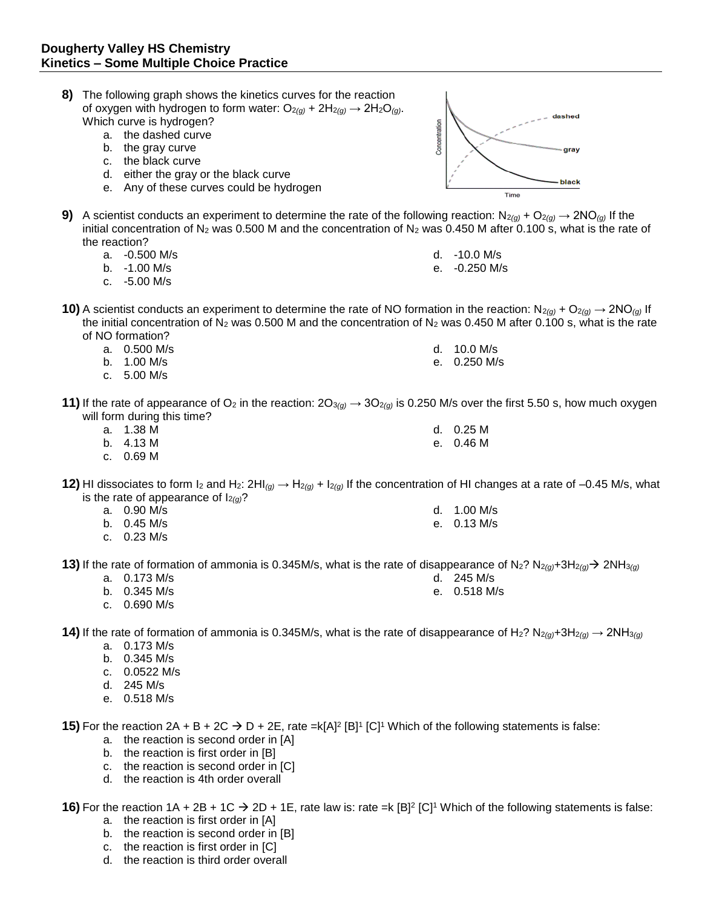| 8)                                                                                                                                                                            | b.<br>C <sub>1</sub> | The following graph shows the kinetics curves for the reaction<br>of oxygen with hydrogen to form water: $O_{2(g)}$ + $2H_{2(g)} \rightarrow 2H_2O_{(g)}$ .<br>Which curve is hydrogen?<br>a. the dashed curve<br>the gray curve<br>the black curve<br>d. either the gray or the black curve<br>e. Any of these curves could be hydrogen | Concentration | dashed<br>gray<br>black<br>Time |  |  |  |
|-------------------------------------------------------------------------------------------------------------------------------------------------------------------------------|----------------------|------------------------------------------------------------------------------------------------------------------------------------------------------------------------------------------------------------------------------------------------------------------------------------------------------------------------------------------|---------------|---------------------------------|--|--|--|
|                                                                                                                                                                               |                      | 9) A scientist conducts an experiment to determine the rate of the following reaction: $N_{2(g)} + O_{2(g)} \to 2NO_{(g)}$ If the<br>initial concentration of N <sub>2</sub> was 0.500 M and the concentration of N <sub>2</sub> was 0.450 M after 0.100 s, what is the rate of                                                          |               |                                 |  |  |  |
|                                                                                                                                                                               | the reaction?        |                                                                                                                                                                                                                                                                                                                                          |               |                                 |  |  |  |
|                                                                                                                                                                               |                      | a. -0.500 M/s                                                                                                                                                                                                                                                                                                                            |               | d. -10.0 M/s                    |  |  |  |
|                                                                                                                                                                               |                      | b. -1.00 M/s                                                                                                                                                                                                                                                                                                                             |               | e. - 0.250 M/s                  |  |  |  |
|                                                                                                                                                                               |                      | c. -5.00 M/s                                                                                                                                                                                                                                                                                                                             |               |                                 |  |  |  |
|                                                                                                                                                                               | b.                   | <b>10)</b> A scientist conducts an experiment to determine the rate of NO formation in the reaction: $N_{2(g)} + O_{2(g)} \to 2N_{(g)}$ If<br>the initial concentration of $N_2$ was 0.500 M and the concentration of $N_2$ was 0.450 M after 0.100 s, what is the rate<br>of NO formation?<br>a. 0.500 M/s<br>1.00 M/s<br>c. $5.00$ M/s |               | d. 10.0 M/s<br>e. 0.250 M/s     |  |  |  |
| 11) If the rate of appearance of O <sub>2</sub> in the reaction: $2O_{3(g)} \to 3O_{2(g)}$ is 0.250 M/s over the first 5.50 s, how much oxygen<br>will form during this time? |                      |                                                                                                                                                                                                                                                                                                                                          |               |                                 |  |  |  |
|                                                                                                                                                                               |                      | a. 1.38 M                                                                                                                                                                                                                                                                                                                                |               | d. 0.25 M                       |  |  |  |
|                                                                                                                                                                               |                      | b. 4.13 M                                                                                                                                                                                                                                                                                                                                |               | e. 0.46 M                       |  |  |  |
|                                                                                                                                                                               |                      | c. 0.69 M                                                                                                                                                                                                                                                                                                                                |               |                                 |  |  |  |
|                                                                                                                                                                               |                      | 12) HI dissociates to form I <sub>2</sub> and H <sub>2</sub> : 2HI <sub>(g)</sub> $\rightarrow$ H <sub>2(g)</sub> + I <sub>2(g)</sub> If the concentration of HI changes at a rate of -0.45 M/s, what<br>is the rate of appearance of $I_{2(q)}$ ?                                                                                       |               |                                 |  |  |  |
|                                                                                                                                                                               |                      | a. 0.90 M/s                                                                                                                                                                                                                                                                                                                              |               | d. 1.00 M/s                     |  |  |  |
|                                                                                                                                                                               |                      | b. 0.45 M/s                                                                                                                                                                                                                                                                                                                              |               | e. 0.13 M/s                     |  |  |  |
|                                                                                                                                                                               |                      | c. $0.23$ M/s                                                                                                                                                                                                                                                                                                                            |               |                                 |  |  |  |
|                                                                                                                                                                               | a.                   | 13) If the rate of formation of ammonia is 0.345M/s, what is the rate of disappearance of N <sub>2</sub> ? N <sub>2(a)</sub> +3H <sub>2(a)</sub> > 2NH <sub>3(a)</sub><br>0.173 M/s                                                                                                                                                      |               | d. 245 M/s                      |  |  |  |
|                                                                                                                                                                               |                      | b. $0.345$ M/s                                                                                                                                                                                                                                                                                                                           |               | e. 0.518 M/s                    |  |  |  |

c. 0.690 M/s

**14)** If the rate of formation of ammonia is 0.345M/s, what is the rate of disappearance of H<sub>2</sub>? N<sub>2*(g)*+3H<sub>2*(g)*</sub>  $\rightarrow$  2NH<sub>3*(g)*</sub></sub>

- a. 0.173 M/s
- b. 0.345 M/s
- c. 0.0522 M/s
- d. 245 M/s
- e. 0.518 M/s

**15)** For the reaction 2A + B + 2C  $\rightarrow$  D + 2E, rate =k[A]<sup>2</sup> [B]<sup>1</sup> [C]<sup>1</sup> Which of the following statements is false:

- a. the reaction is second order in [A]
- b. the reaction is first order in [B]
- c. the reaction is second order in [C]
- d. the reaction is 4th order overall

**16)** For the reaction  $1A + 2B + 1C \rightarrow 2D + 1E$ , rate law is: rate =k  $[B]^2$  [C]<sup>1</sup> Which of the following statements is false:

- a. the reaction is first order in [A]
- b. the reaction is second order in [B]
- c. the reaction is first order in [C]
- d. the reaction is third order overall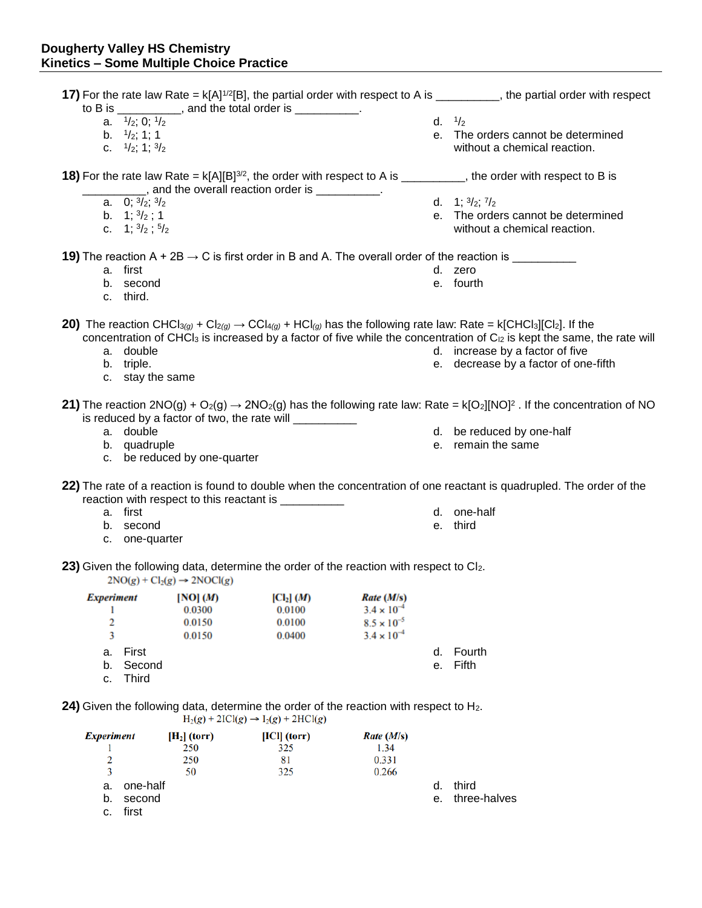a. one-half b. second c. first

|                   |                                     |                                         | to B is $\frac{1}{2}$ , and the total order is $\frac{1}{2}$ .                                                                                      |                      |    | 17) For the rate law Rate = $k[A]^{1/2}[B]$ , the partial order with respect to A is ________, the partial order with respect                                                                               |
|-------------------|-------------------------------------|-----------------------------------------|-----------------------------------------------------------------------------------------------------------------------------------------------------|----------------------|----|-------------------------------------------------------------------------------------------------------------------------------------------------------------------------------------------------------------|
|                   | a. $\frac{1}{2}$ ; 0; $\frac{1}{2}$ |                                         |                                                                                                                                                     |                      |    | d. $1/2$                                                                                                                                                                                                    |
|                   |                                     |                                         |                                                                                                                                                     |                      |    |                                                                                                                                                                                                             |
|                   | b. $\frac{1}{2}$ ; 1; 1             |                                         |                                                                                                                                                     |                      |    | e. The orders cannot be determined                                                                                                                                                                          |
|                   | c. $\frac{1}{2}$ ; 1; $\frac{3}{2}$ |                                         |                                                                                                                                                     |                      |    | without a chemical reaction.                                                                                                                                                                                |
|                   |                                     |                                         | ____, and the overall reaction order is __________.                                                                                                 |                      |    | <b>18)</b> For the rate law Rate = $k[A][B]^{3/2}$ , the order with respect to A is _________, the order with respect to B is                                                                               |
|                   | a. 0; $\frac{3}{2}$ ; $\frac{3}{2}$ |                                         |                                                                                                                                                     |                      |    | d. 1; $\frac{3}{2}$ ; $\frac{7}{2}$                                                                                                                                                                         |
|                   | b. $1; \frac{3}{2}$ ; 1             |                                         |                                                                                                                                                     |                      |    | e. The orders cannot be determined                                                                                                                                                                          |
|                   | c. 1; $\frac{3}{2}$ ; $\frac{5}{2}$ |                                         |                                                                                                                                                     |                      |    | without a chemical reaction.                                                                                                                                                                                |
|                   |                                     |                                         |                                                                                                                                                     |                      |    | 19) The reaction A + 2B $\rightarrow$ C is first order in B and A. The overall order of the reaction is __________                                                                                          |
|                   | a. first                            |                                         |                                                                                                                                                     |                      |    | d. zero                                                                                                                                                                                                     |
|                   | b. second                           |                                         |                                                                                                                                                     |                      |    | e. fourth                                                                                                                                                                                                   |
|                   | c. third.                           |                                         |                                                                                                                                                     |                      |    |                                                                                                                                                                                                             |
|                   |                                     |                                         |                                                                                                                                                     |                      |    | <b>20)</b> The reaction CHCl <sub>3(a)</sub> + Cl <sub>2(a)</sub> $\rightarrow$ CCl <sub>4(a)</sub> + HCl <sub>(a)</sub> has the following rate law: Rate = k[CHCl <sub>3</sub> ][Cl <sub>2</sub> ]. If the |
|                   |                                     |                                         |                                                                                                                                                     |                      |    | concentration of CHCl <sub>3</sub> is increased by a factor of five while the concentration of $C_{12}$ is kept the same, the rate will                                                                     |
|                   | a. double                           |                                         |                                                                                                                                                     |                      |    | d. increase by a factor of five                                                                                                                                                                             |
|                   | b. triple.                          |                                         |                                                                                                                                                     |                      |    | e. decrease by a factor of one-fifth                                                                                                                                                                        |
|                   | c. stay the same                    |                                         |                                                                                                                                                     |                      |    |                                                                                                                                                                                                             |
|                   |                                     |                                         | is reduced by a factor of two, the rate will ___________                                                                                            |                      |    | <b>21)</b> The reaction 2NO(g) + O <sub>2</sub> (g) $\rightarrow$ 2NO <sub>2</sub> (g) has the following rate law: Rate = k[O <sub>2</sub> ][NO] <sup>2</sup> . If the concentration of NO                  |
|                   | a. double                           |                                         |                                                                                                                                                     |                      |    | d. be reduced by one-half                                                                                                                                                                                   |
|                   | b. quadruple                        |                                         |                                                                                                                                                     |                      |    | e. remain the same                                                                                                                                                                                          |
|                   |                                     | c. be reduced by one-quarter            |                                                                                                                                                     |                      |    |                                                                                                                                                                                                             |
|                   |                                     |                                         | reaction with respect to this reactant is __________                                                                                                |                      |    | 22) The rate of a reaction is found to double when the concentration of one reactant is quadrupled. The order of the                                                                                        |
|                   | a. first                            |                                         |                                                                                                                                                     |                      |    | d. one-half                                                                                                                                                                                                 |
|                   | b. second                           |                                         |                                                                                                                                                     |                      |    | e. third                                                                                                                                                                                                    |
|                   | c. one-quarter                      |                                         |                                                                                                                                                     |                      |    |                                                                                                                                                                                                             |
|                   |                                     |                                         | 23) Given the following data, determine the order of the reaction with respect to Cl <sub>2</sub> .                                                 |                      |    |                                                                                                                                                                                                             |
|                   |                                     | $2NO(g) + Cl_2(g) \rightarrow 2NOCl(g)$ |                                                                                                                                                     |                      |    |                                                                                                                                                                                                             |
| <b>Experiment</b> |                                     | [NO] (M)                                | $\left[\text{Cl}_2\right](M)$                                                                                                                       | Rate (M/s)           |    |                                                                                                                                                                                                             |
|                   |                                     | 0.0300                                  | 0.0100                                                                                                                                              | $3.4 \times 10^{-4}$ |    |                                                                                                                                                                                                             |
| 2                 |                                     | 0.0150                                  | 0.0100                                                                                                                                              | $8.5 \times 10^{-5}$ |    |                                                                                                                                                                                                             |
| 3                 |                                     | 0.0150                                  | 0.0400                                                                                                                                              | $3.4 \times 10^{-4}$ |    |                                                                                                                                                                                                             |
| а.                | First                               |                                         |                                                                                                                                                     |                      | d. | Fourth                                                                                                                                                                                                      |
| b.                | Second                              |                                         |                                                                                                                                                     |                      | е. | Fifth                                                                                                                                                                                                       |
| c.                | <b>Third</b>                        |                                         |                                                                                                                                                     |                      |    |                                                                                                                                                                                                             |
|                   |                                     |                                         | <b>24)</b> Given the following data, determine the order of the reaction with respect to $H_2$ .<br>$H_2(g) + 2ICl(g) \rightarrow I_2(g) + 2HCl(g)$ |                      |    |                                                                                                                                                                                                             |
| <b>Experiment</b> |                                     | $[H_2]$ (torr)                          | $ ICI $ (torr)                                                                                                                                      | Rate (M/s)           |    |                                                                                                                                                                                                             |
|                   |                                     | 250                                     | 325                                                                                                                                                 | 1.34                 |    |                                                                                                                                                                                                             |
| 2                 |                                     | 250                                     | 81                                                                                                                                                  | 0.331                |    |                                                                                                                                                                                                             |
| 3                 |                                     | 50                                      | 325                                                                                                                                                 | 0.266                |    |                                                                                                                                                                                                             |

d. third e. three-halves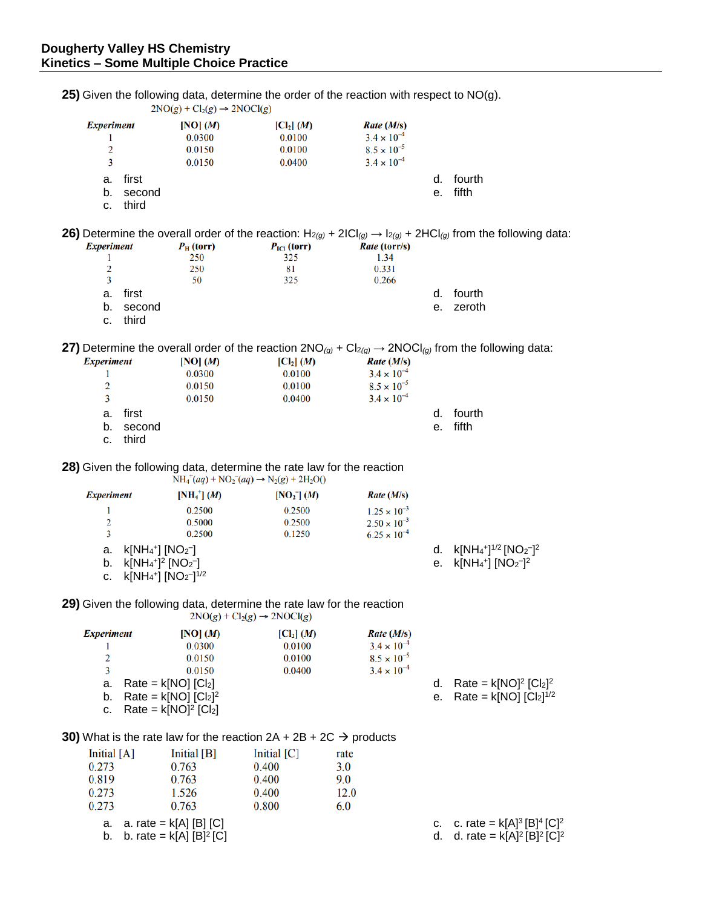b. b. rate =  $k[A] [B]^2 [C]$ 

**25)** Given the following data, determine the order of the reaction with respect to NO(g).  $2NO(g) + Cl_2(g) \rightarrow 2NOCl(g)$ **Experiment** [NO]  $(M)$  $\left[\text{Cl}_2\right](M)$ Rate (M/s)  $\mathbf{1}$ 0.0300 0.0100  $3.4 \times 10^{-4}$  $\overline{2}$ 0.0150 0.0100  $8.5 \times 10^{-5}$  $\overline{3}$ 0.0400  $3.4 \times 10^{-4}$ 0.0150 a. first d. fourth e. fifth b. second c. third **26)** Determine the overall order of the reaction:  $H_{2(g)} + 2IC|_{(g)} \rightarrow 1_{2(g)} + 2HCl_{(g)}$  from the following data:<br>*Experiment*  $P_{\rm H}$  (torr)  $P_{\rm IC}$  (torr) Rate (torr/s)  $P_{\rm H}$  (torr) Rate (torr/s)  $P_{\rm IC1}$  (torr) 250 325 1.34  $\mathbf{1}$  $\overline{2}$ 250 81 0.331  $\overline{3}$ 50 325 0.266 a. first d. fourth b. second e. zeroth c. third **27)** Determine the overall order of the reaction  $2NO<sub>(g)</sub> + Cl<sub>2(g)</sub> \rightarrow 2NOCl<sub>(g)</sub>$  from the following data: **Experiment** [NO]  $(M)$  $\left[\text{Cl}_2\right](M)$  $Rate (M/s)$ 0.0300 0.0100  $3.4 \times 10^{-4}$ 1 0.0100  $8.5 \times 10^{-5}$  $\overline{2}$ 0.0150  $3.4 \times 10^{-4}$ 3 0.0150 0.0400 d. fourth a. first b. second e. fifth c. third **28)** Given the following data, determine the rate law for the reaction  $NH_4^+(aq) + NO_2^-(aq) \rightarrow N_2(g) + 2H_2O($  $[NH<sub>4</sub><sup>+</sup>] (M)$ **Experiment**  $[NO<sub>2</sub>](M)$ Rate (M/s) 0.2500  $\mathbf{1}$ 0.2500  $1.25 \times 10^{-3}$  $\mathcal{D}$ 0.5000 0.2500  $2.50 \times 10^{-3}$  $\overline{3}$ 0.2500 0.1250  $6.25 \times 10^{-4}$ a.  $k[NH_4^+]$   $[NO_2^-]$ d.  $k[NH_4^+]^{1/2} [NO_2^-]^2$ b.  $k[NH_4^+]^2 [NO_2^-]$ e. k[NH<sub>4</sub>+] [NO<sub>2</sub>-]<sup>2</sup> c.  $k[NH_4^+] [NO_2^-]^{1/2}$ **29)** Given the following data, determine the rate law for the reaction  $2NO(g) + Cl_2(g) \rightarrow 2NOCl(g)$  $[NO] (M)$  $Rate (M/s)$ **Experiment**  $\lbrack CL_1 \rbrack (M)$ 0.0300 0.0100  $3.4 \times 10^{-4}$  $\mathbf{1}$  $8.5 \times 10^{-5}$  $\overline{2}$ 0.0150 0.0100  $3.4 \times 10^{-4}$  $\overline{3}$ 0.0150 0.0400 a. Rate =  $k[NO]$   $|Cl<sub>2</sub>|$ d. Rate =  $k[NO]^2$   $[Cl_2]^2$ b. Rate =  $k[NO]$   $[Cl<sub>2</sub>]<sup>2</sup>$ e.  $Rate = k[NO] [Cl<sub>2</sub>]^{1/2}$ c. Rate =  $k[NO]^2$   $[Cl_2]$ **30)** What is the rate law for the reaction  $2A + 2B + 2C \rightarrow$  products Initial  $[A]$ Initial [B] Initial  $[C]$ rate 0.273 0.763 0.400  $3.0$ 0.763 9.0 0.819 0.400 0.273 1.526 0.400 12.0 0.273 0.763 0.800 6.0 a.  $a.$  rate =  $k[A]$  [B] [C]

c. c. rate =  $k[A]^3[B]^4[C]^2$ d. d. rate =  $k[A]^2[B]^2[C]^2$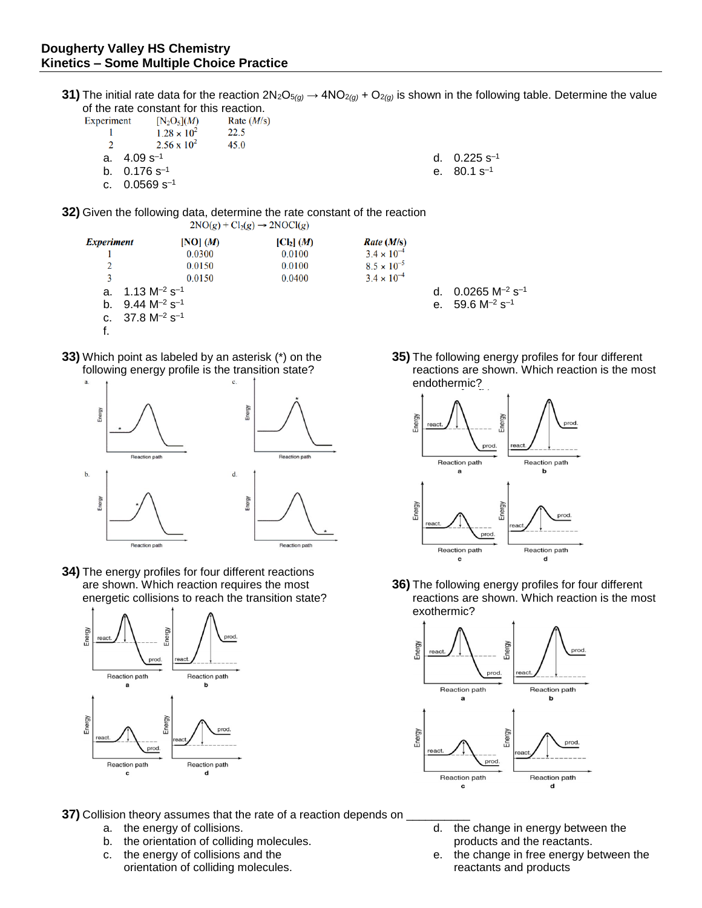**31)** The initial rate data for the reaction  $2N_2O_{5(g)} \to 4NO_{2(g)} + O_{2(g)}$  is shown in the following table. Determine the value of the rate constant for this reaction.

> Rate (M/s)  $3.4 \times 10^{-4}$

 $8.5\times10^{-5}$ 

 $3.4 \times 10^{-4}$ 

Experiment  $[N_2O_5](M)$ Rate  $(M/s)$ 22.5  $\mathbf{1}$  $1.28 \times 10^{2}$  $\overline{2}$  $2.56 \times 10^{2}$ 45.0 a.  $4.09 s^{-1}$ d.  $0.225 s^{-1}$ b.  $0.176 s^{-1}$ e. 80.1 s–1 c.  $0.0569$  s<sup>-1</sup>

 $\left[ \text{Cl}_2 \right]$  (*M*)

0.0100

0.0100

0.0400

**32)** Given the following data, determine the rate constant of the reaction  $2NO(g) + Cl<sub>2</sub>(g) \rightarrow 2NOCl(g)$ 

- **Experiment**  $[NO] (M)$ 0.0300 -1  $\overline{2}$ 0.0150  $\overline{\mathbf{3}}$ 0.0150 a.  $1.13 M^{-2} s^{-1}$ b.  $9.44 M^{-2} s^{-1}$ c.  $37.8 M^{-2} s^{-1}$ f.
- **33)** Which point as labeled by an asterisk (\*) on the following energy profile is the transition state?



**34)** The energy profiles for four different reactions are shown. Which reaction requires the most energetic collisions to reach the transition state?



**37)** Collision theory assumes that the rate of a reaction depends on

- a. the energy of collisions.
- b. the orientation of colliding molecules.
- c. the energy of collisions and the orientation of colliding molecules.

**35)** The following energy profiles for four different reactions are shown. Which reaction is the most endothermic?



d.  $0.0265$  M<sup>-2</sup> s<sup>-1</sup> e.  $59.6 M^{-2} s^{-1}$ 

**36)** The following energy profiles for four different reactions are shown. Which reaction is the most exothermic?



- d. the change in energy between the products and the reactants.
- e. the change in free energy between the reactants and products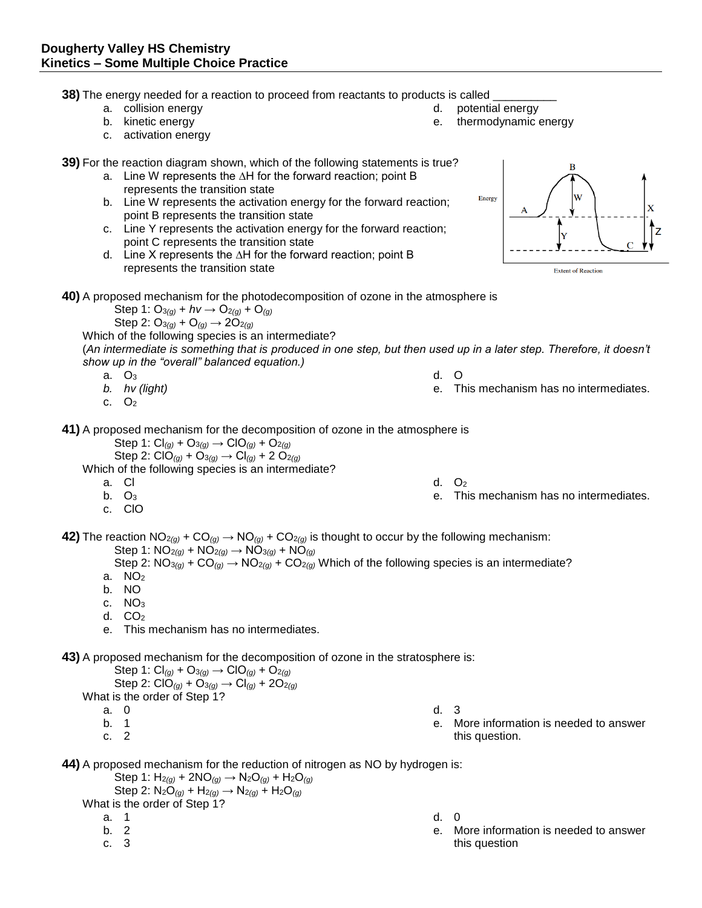**38)** The energy needed for a reaction to proceed from reactants to products is called

- a. collision energy
- b. kinetic energy
- c. activation energy

**39)** For the reaction diagram shown, which of the following statements is true?

- a. Line W represents the ∆H for the forward reaction; point B represents the transition state
- b. Line W represents the activation energy for the forward reaction; point B represents the transition state
- c. Line Y represents the activation energy for the forward reaction; point C represents the transition state
- d. Line X represents the ∆H for the forward reaction; point B represents the transition state



**40)** A proposed mechanism for the photodecomposition of ozone in the atmosphere is

 $Step 1: O_{3(q)} + hv \rightarrow O_{2(q)} + O_{(q)}$ Step 2:  $O_{3}(q) + O_{(q)} \rightarrow 2O_{2}(q)$ 

Which of the following species is an intermediate?

(*An intermediate is something that is produced in one step, but then used up in a later step. Therefore, it doesn't show up in the "overall" balanced equation.)*

- a. O<sup>3</sup>
- *b. hν (light)*
- c.  $O<sub>2</sub>$

**41)** A proposed mechanism for the decomposition of ozone in the atmosphere is

 Step 1: Cl*(g)* + O<sup>3</sup>*(g)* → ClO*(g)* + O<sup>2</sup>*(g)* Step 2: ClO*(g)* + O<sup>3</sup>*(g)* → Cl*(g)* + 2 O<sup>2</sup>*(g)*

Which of the following species is an intermediate?

- a. Cl
- b.  $O_3$
- c. ClO

**42)** The reaction  $NO_{2(q)} + CO_{(q)} \rightarrow NO_{(q)} + CO_{2(q)}$  is thought to occur by the following mechanism: Step 1: NO<sup>2</sup>*(g)* + NO<sup>2</sup>*(g)* → NO<sup>3</sup>*(g)* + NO*(g)*

Step 2:  $NO_{3(g)} + CO_{(g)} \rightarrow NO_{2(g)} + CO_{2(g)}$  Which of the following species is an intermediate?

- a.  $NO<sub>2</sub>$
- b. NO
- c. NO<sub>3</sub>
- d.  $CO<sub>2</sub>$
- e. This mechanism has no intermediates.

**43)** A proposed mechanism for the decomposition of ozone in the stratosphere is:

Step 1:  $Cl_{(q)} + O_{(q)} \rightarrow ClO_{(q)} + O_{(q)}$  Step 2: ClO*(g)* + O<sup>3</sup>*(g)* → Cl*(g)* + 2O<sup>2</sup>*(g)* What is the order of Step 1? a. 0

- b. 1
- c. 2

d. 3

- e. More information is needed to answer this question.
- **44)** A proposed mechanism for the reduction of nitrogen as NO by hydrogen is:

Step 1:  $H_{2}(g) + 2NO(g) \rightarrow N_{2}O(g) + H_{2}O(g)$ Step 2:  $N_2O_{(g)} + H_{2(g)} \rightarrow N_{2(g)} + H_2O_{(g)}$ 

What is the order of Step 1?

- a. 1
- b. 2
- c. 3
- d. 0
- e. More information is needed to answer this question

e. This mechanism has no intermediates.

e. This mechanism has no intermediates.

d. O

- 
- 
- d.  $O<sub>2</sub>$ 
	-

d. potential energy e. thermodynamic energy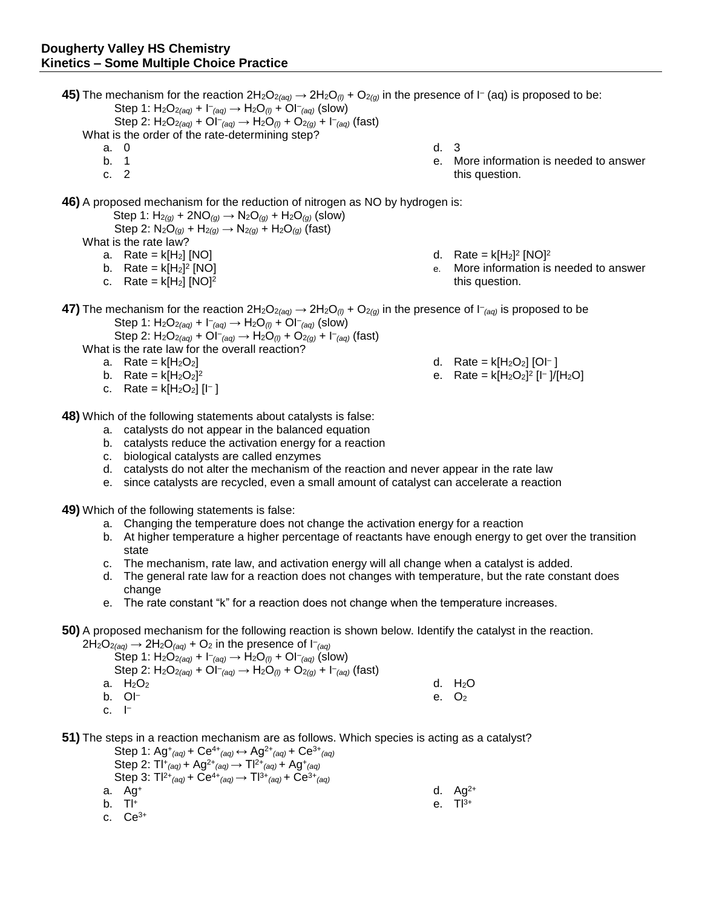**45)** The mechanism for the reaction  $2H_2O_{2(aq)} \to 2H_2O_{(l)} + O_{2(g)}$  in the presence of I<sup>-</sup> (aq) is proposed to be:  $Step 1: H_2O_{2(aq)} + I_{(aq)} \rightarrow H_2O_{(l)} + O_{(aq)} (slow)$ Step 2:  $H_2O_{2(aq)} + O(-aq) \rightarrow H_2O_{(l)} + O_{2(q)} + C_{(aq)}$  (fast) What is the order of the rate-determining step?

- a. 0
- b. 1
- c. 2
- d. 3
- e. More information is needed to answer this question.

**46)** A proposed mechanism for the reduction of nitrogen as NO by hydrogen is:

Step 1:  $H_{2(g)}$  + 2NO<sub>(g)</sub>  $\rightarrow$  N<sub>2</sub>O<sub>(g)</sub> + H<sub>2</sub>O<sub>(g)</sub> (slow) Step 2:  $N_2O_{(q)} + H_{2(q)} \rightarrow N_{2(q)} + H_2O_{(q)}$  (fast)

What is the rate law?

- a. Rate =  $k[H_2]$  [NO]
- b. Rate =  $k[H_2]^2$  [NO]
- c. Rate =  $k[H_2]$  [NO]<sup>2</sup>
- d. Rate =  $k[H_2]^2$  [NO]<sup>2</sup>
- e. More information is needed to answer this question.

**47)** The mechanism for the reaction  $2H_2O_{2(aq)} \to 2H_2O_{(l)} + O_{2(g)}$  in the presence of  $\vdash_{(aq)}$  is proposed to be  $Step 1: H_2O_{2(aq)} + I_{(aq)} \rightarrow H_2O_{(l)} + OI_{(aq)}$  (slow)

Step 2:  $H_2O_{2(aq)} + O[-aq] \rightarrow H_2O_{(l)} + O_{2(q)} + [aq]$  (fast)

What is the rate law for the overall reaction?

- a. Rate =  $k[H_2O_2]$
- b. Rate =  $k[H_2O_2]^2$
- c. Rate =  $k[H_2O_2]$  [l<sup>-</sup>]

**48)** Which of the following statements about catalysts is false:

- a. catalysts do not appear in the balanced equation
- b. catalysts reduce the activation energy for a reaction
- c. biological catalysts are called enzymes
- d. catalysts do not alter the mechanism of the reaction and never appear in the rate law
- e. since catalysts are recycled, even a small amount of catalyst can accelerate a reaction

**49)** Which of the following statements is false:

- a. Changing the temperature does not change the activation energy for a reaction
- b. At higher temperature a higher percentage of reactants have enough energy to get over the transition state
- c. The mechanism, rate law, and activation energy will all change when a catalyst is added.
- d. The general rate law for a reaction does not changes with temperature, but the rate constant does change
- e. The rate constant "k" for a reaction does not change when the temperature increases.

## **50)** A proposed mechanism for the following reaction is shown below. Identify the catalyst in the reaction.

 $2H_2O_{2(aq)} \rightarrow 2H_2O_{(aq)} + O_2$  in the presence of  $I_{(aq)}$  $Step 1: H_2O_{2(aq)} + I_{(aq)} \rightarrow H_2O_{(l)} + OI_{(aq)}$  (slow)  $Step 2: H_2O_{2(aq)} + Ol^{-}(aq) \rightarrow H_2O_{(l)} + O_{2(q)} + l^{-}(aq)$  (fast) a.  $H_2O_2$ b. OI– c. I – d.  $H_2O$ e. O<sup>2</sup>

**51)** The steps in a reaction mechanism are as follows. Which species is acting as a catalyst?

| Step 1: $\text{Ag}^+_{(aq)}$ + $\text{Ce}^{4+}_{(aq)} \leftrightarrow \text{Ag}^{2+}_{(aq)}$ + $\text{Ce}^{3+}_{(aq)}$ |              |
|------------------------------------------------------------------------------------------------------------------------|--------------|
| Step 2: $TI^+_{(aq)}$ + $Ag^{2+}_{(aq)}$ $\rightarrow$ $TI^{2+}_{(aq)}$ + $Ag^+_{(aq)}$                                |              |
| Step 3: $TI^{2+}(aq) + Ce^{4+}(aq) \rightarrow TI^{3+}(aq) + Ce^{3+}(aq)$                                              |              |
| a. Ag <sup>+</sup>                                                                                                     | d. $Aq^{2+}$ |
| b. TI+                                                                                                                 | e. $T^{3+}$  |
| c. $Ce^{3+}$                                                                                                           |              |

- d. Rate =  $k[H_2O_2]$  [OI<sup>-</sup>]
- e. Rate =  $k[H_2O_2]^2$  [l<sup>-</sup>]/[H<sub>2</sub>O]